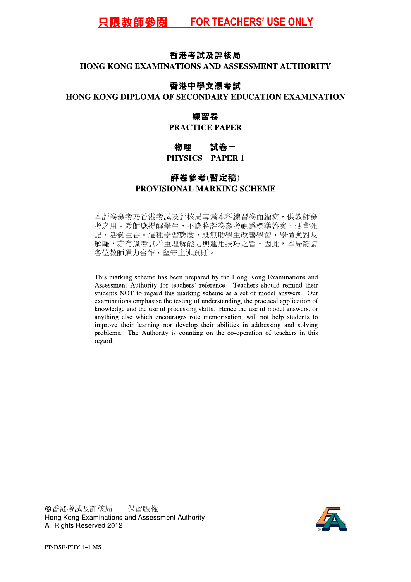### 香港考試及評核局

## HONG KONG EXAMINATIONS AND ASSESSMENT AUTHORITY

### 香港中學文憑考試

### HONG KONG DIPLOMA OF SECONDARY EDUCATION EXAMINATION

### 練習卷

## **PRACTICE PAPER**

#### 試卷一 物理 PHYSICS PAPER 1

# 評卷參考(暫定稿) PROVISIONAL MARKING SCHEME

本評卷參考乃香港考試及評核局專為本科練習卷而編寫,供教師參 考之用。教師應提醒學生,不應將評卷參考視爲標準答案,硬背死 記,活剝生吞。這種學習態度,既無助學生改善學習,學懂應對及 解難,亦有違考試着重理解能力與運用技巧之旨。因此,本局籲請 各位教師通力合作,堅守上述原則。

This marking scheme has been prepared by the Hong Kong Examinations and Assessment Authority for teachers' reference. Teachers should remind their students NOT to regard this marking scheme as a set of model answers. Our examinations emphasise the testing of understanding, the practical application of knowledge and the use of processing skills. Hence the use of model answers, or anything else which encourages rote memorisation, will not help students to improve their learning nor develop their abilities in addressing and solving problems. The Authority is counting on the co-operation of teachers in this regard.

©香港考試及評核局 保留版權 Hong Kong Examinations and Assessment Authority All Rights Reserved 2012

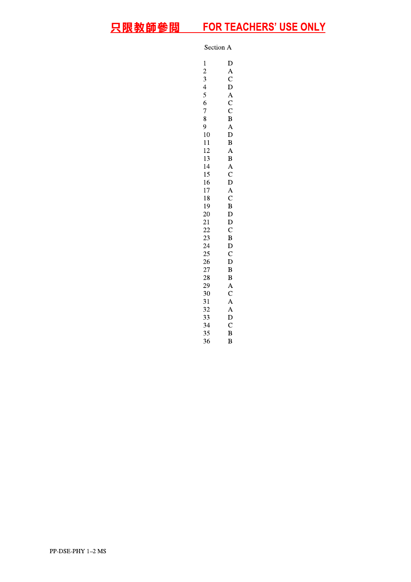Section A

 $\mathbf{1}$ 

 $\mathbf D$  $\frac{2}{3}$  $\boldsymbol{A}$  $\overline{C}$  $\overline{4}$  $\overline{D}$  $\frac{5}{6}$  $\overline{A}$  $\overline{C}$  $\overline{7}$  $\check{\rm c}$  $\frac{7}{8}$  $\overline{B}$  $\overline{9}$  $\overline{A}$ 10  $\overline{D}$  $\overline{B}$ 11 12  $\overline{A}$ 13  $\overline{B}$ 14  $\mathbf{A}$ 15  $\overline{C}$ 16  $\mathbf D$  $\begin{matrix} A \\ C \end{matrix}$ 17 18 19  $\, {\bf B}$ 20  $\mathbf D$  $21\,$  $\mathbf D$ 22  $\mathbf C$ 23  $\overline{B}$ 24  $\overline{D}$ 25  $\overline{C}$ 26  $\overline{D}$ 27  $\overline{B}$ 28  $\overline{B}$ 29  $\overline{A}$ 30  $\mathbf C$ 31  $\overline{A}$ 32  $\overline{A}$ 33  $\overline{D}$  $\overline{C}$ 34 35  $\overline{B}$ 36  $\, {\bf B}$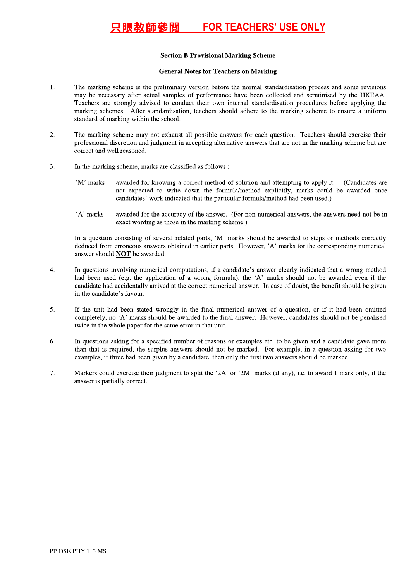#### <u>只限教師参閲 FOR</u> <u>IEACHERS' USE ONLY</u>

- 1. The marking<br>may be neces<br>Teachers are<br>marking schet<br>standard of marking<br>professional d<br>correct and we<br>M' marks –<br>'A' marks –<br>'A' marks –<br>'A' marks –<br>In a question<br>deduced from<br>answer should<br>answer should<br>an the candidat **HE AN EVIDENT STATE ACHERS' USE ON**<br>
Section **B** Provisional Marking Scheme<br>
General Notes for Teachests on Marking<br>
The mainlang scheme of the precision of the property experiments here there entire<br>
in the property of Section B Provisional Marking Scheme<br>
4. Section B Provisional Marking Scheme<br>
4. The marking scheme is the preliminary version before the normal standardisation process and some revisions<br>
may be necessary after actual sa may be necessary after actual samples of performance have been collected and scrutinised by the HKEAA. Teachers are strongly advised to conduct their own internal standardisation procedures before applying the marking schemes. After standardisation, teachers should adhere to the marking scheme to ensure a uniform standard of marking within the school.
- 2. The marking scheme may not exhaust all possible answers for each question. Teachers should exercise their professional discretion and judgment in accepting alternative answers that are not in the marking scheme but are correct and well reasoned.
- 3. In the marking scheme, marks are classified as follows :
	- 'M' marks awarded for knowing a correct method of solution and attempting to apply it. (Candidates are not expected to write down the formula/method explicitly, marks could be awarded once candidates' work indicated that the particular formula/method had been used.)
	- A marks awarded for the accuracy of the answer. (For non-numerical answers, the answers need not be in exact wording as those in the marking scheme.)

In a question consisting of several related parts, 'M' marks should be awarded to steps or methods correctly deduced from erroneous answers obtained in earlier parts. However, 'A' marks for the corresponding numerical answer should **NOT** be awarded.

- 4. In questions involving numerical computations, if a candidate's answer clearly indicated that a wrong method had been used (e.g. the application of a wrong formula), the 'A' marks should not be awarded even if the candidate had accidentally arrived at the correct numerical answer. In case of doubt, the benefit should be given in the candidate's favour.
- 5. If the unit had been stated wrongly in the final numerical answer of a question, or if it had been omitted completely, no 'A' marks should be awarded to the final answer. However, candidates should not be penalised twice in the whole paper for the same error in that unit.
- 6. In questions asking for a specified number of reasons or examples etc. to be given and a candidate gave more than that is required, the surplus answers should not be marked. For example, in a question asking for two examples, if three had been given by a candidate, then only the first two answers should be marked.
- 7. Markers could exercise their judgment to split the '2A' or '2M' marks (if any), i.e. to award 1 mark only, if the answer is partially correct.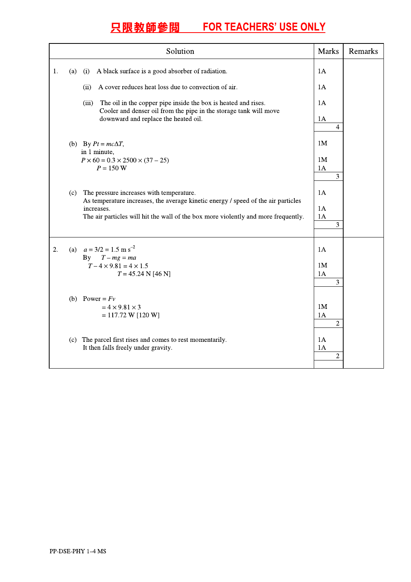|    |     | Solution                                                                                                                                                                                                                          | <b>Marks</b>                           | Remarks |
|----|-----|-----------------------------------------------------------------------------------------------------------------------------------------------------------------------------------------------------------------------------------|----------------------------------------|---------|
| 1. | (a) | A black surface is a good absorber of radiation.<br>(i)                                                                                                                                                                           | 1A                                     |         |
|    |     | A cover reduces heat loss due to convection of air.<br>(ii)                                                                                                                                                                       | 1A                                     |         |
|    |     | (iii)<br>The oil in the copper pipe inside the box is heated and rises.<br>Cooler and denser oil from the pipe in the storage tank will move<br>downward and replace the heated oil.                                              | 1A                                     |         |
|    |     |                                                                                                                                                                                                                                   | 1A<br>$\overline{4}$                   |         |
|    |     | (b) By $Pt = mc\Delta T$ ,                                                                                                                                                                                                        | 1M                                     |         |
|    |     | in 1 minute,<br>$P \times 60 = 0.3 \times 2500 \times (37 - 25)$<br>$P = 150 W$                                                                                                                                                   | 1 <sub>M</sub><br>1A<br>$\overline{3}$ |         |
|    | (c) | The pressure increases with temperature.<br>As temperature increases, the average kinetic energy / speed of the air particles<br>increases.<br>The air particles will hit the wall of the box more violently and more frequently. | 1A<br>1A<br>1A<br>3                    |         |
| 2. |     | (a) $a = 3/2 = 1.5$ m s <sup>-2</sup><br>By $T-mg=ma$<br>$T - 4 \times 9.81 = 4 \times 1.5$<br>$T = 45.24 N [46 N]$                                                                                                               | 1A<br>1 <sub>M</sub><br>1A<br>3        |         |
|    |     | (b) Power = $Fv$<br>$= 4 \times 9.81 \times 3$<br>$= 117.72 W [120 W]$                                                                                                                                                            | 1M<br>1A<br>$\overline{2}$             |         |
|    |     | (c) The parcel first rises and comes to rest momentarily.<br>It then falls freely under gravity.                                                                                                                                  | 1A<br>1A<br>$\overline{2}$             |         |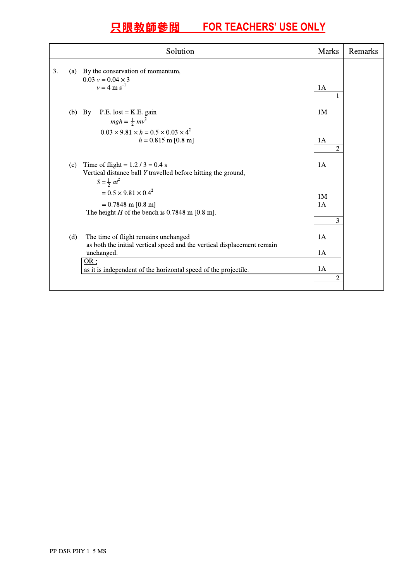| Solution |     |                                                                                                                                                                                                                                              |                                        | Remarks |
|----------|-----|----------------------------------------------------------------------------------------------------------------------------------------------------------------------------------------------------------------------------------------------|----------------------------------------|---------|
| 3.       |     | (a) By the conservation of momentum,<br>$0.03 v = 0.04 \times 3$<br>$v = 4 \text{ m s}^{-1}$                                                                                                                                                 | 1A                                     |         |
|          |     | $P.E. lost = K.E. gain$<br>$(b)$ By<br>$mgh = \frac{1}{2}mv^2$<br>$0.03 \times 9.81 \times h = 0.5 \times 0.03 \times 4^2$<br>$h = 0.815$ m [0.8 m]                                                                                          | 1 <sub>M</sub><br>1A<br>$\overline{2}$ |         |
|          | (c) | Time of flight = $1.2 / 3 = 0.4$ s<br>Vertical distance ball Y travelled before hitting the ground,<br>$S = \frac{1}{2}at^2$<br>$= 0.5 \times 9.81 \times 0.4^2$<br>$= 0.7848$ m [0.8 m]<br>The height $H$ of the bench is 0.7848 m [0.8 m]. | 1A<br>1M<br>1A<br>3                    |         |
|          | (d) | The time of flight remains unchanged<br>as both the initial vertical speed and the vertical displacement remain<br>unchanged.<br>OR:<br>as it is independent of the horizontal speed of the projectile.                                      | 1A<br>1A<br>1A<br>2                    |         |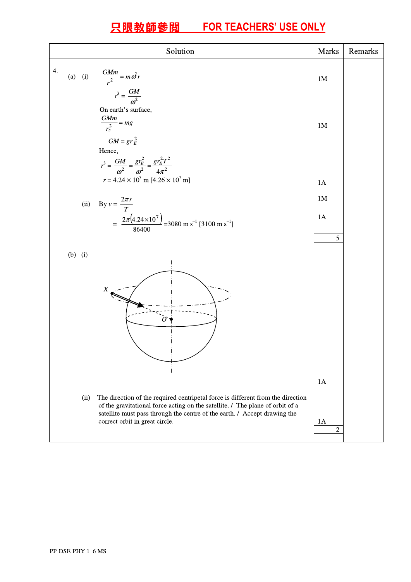|    |           | Solution                                                                                                                                                                                                                                                                        | <b>Marks</b>             | Remarks |
|----|-----------|---------------------------------------------------------------------------------------------------------------------------------------------------------------------------------------------------------------------------------------------------------------------------------|--------------------------|---------|
| 4. |           | (a) (i) $\frac{GMm}{r^2} = m\omega^2 r$<br>$r^3 = \frac{GM}{\omega^2}$<br>On earth's surface,                                                                                                                                                                                   | 1 <sub>M</sub>           |         |
|    |           | $\frac{GMm}{r_{E}^{2}} = mg$<br>$GM = gr_E^2$<br>Hence,<br>$r^3 = \frac{GM}{\omega^2} = \frac{gr_E^2}{\omega^2} = \frac{gr_E^2 T^2}{4\pi^2}$                                                                                                                                    | 1 <sub>M</sub>           |         |
|    |           | $r = 4.24 \times 10^7$ m [4.26 $\times 10^7$ m]                                                                                                                                                                                                                                 | 1A<br>1 <sub>M</sub>     |         |
|    |           | (ii) By $v = \frac{2\pi r}{T}$<br>= $\frac{2\pi (4.24 \times 10^7)}{86400}$ = 3080 m s <sup>-1</sup> [3100 m s <sup>-1</sup> ]                                                                                                                                                  | 1A<br>5                  |         |
|    | $(b)$ (i) | X                                                                                                                                                                                                                                                                               |                          |         |
|    | (ii)      | The direction of the required centripetal force is different from the direction<br>of the gravitational force acting on the satellite. / The plane of orbit of a<br>satellite must pass through the centre of the earth. / Accept drawing the<br>correct orbit in great circle. | 1A<br>1A<br>$\mathbf{2}$ |         |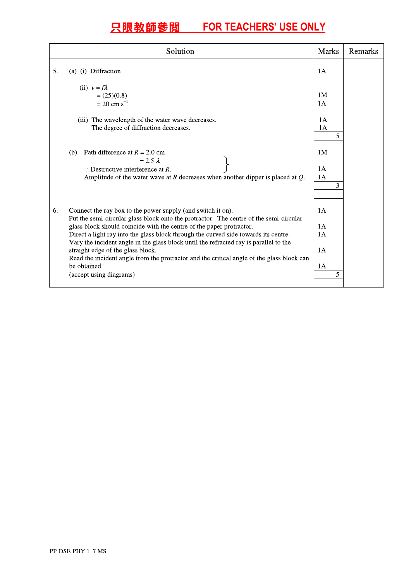|    | Solution                                                                                                                                                                                                                                                                                                                                                                               | <b>Marks</b>               | Remarks |
|----|----------------------------------------------------------------------------------------------------------------------------------------------------------------------------------------------------------------------------------------------------------------------------------------------------------------------------------------------------------------------------------------|----------------------------|---------|
| 5. | (a) (i) Diffraction                                                                                                                                                                                                                                                                                                                                                                    | 1A                         |         |
|    | (ii) $v = f\lambda$<br>$=(25)(0.8)$<br>$= 20$ cm s <sup>-1</sup><br>(iii) The wavelength of the water wave decreases.                                                                                                                                                                                                                                                                  | 1 <sub>M</sub><br>1A<br>1A |         |
|    | The degree of diffraction decreases.                                                                                                                                                                                                                                                                                                                                                   | 1A<br>5                    |         |
|    | Path difference at $R = 2.0$ cm<br>(b)<br>$= 2.5 \lambda$                                                                                                                                                                                                                                                                                                                              | 1 <sub>M</sub>             |         |
|    | $\therefore$ Destructive interference at R.<br>Amplitude of the water wave at $R$ decreases when another dipper is placed at $Q$ .                                                                                                                                                                                                                                                     | 1A<br>1A<br>3              |         |
| 6. | Connect the ray box to the power supply (and switch it on).<br>Put the semi-circular glass block onto the protractor. The centre of the semi-circular                                                                                                                                                                                                                                  | 1A                         |         |
|    | glass block should coincide with the centre of the paper protractor.<br>Direct a light ray into the glass block through the curved side towards its centre.<br>Vary the incident angle in the glass block until the refracted ray is parallel to the<br>straight edge of the glass block.<br>Read the incident angle from the protractor and the critical angle of the glass block can |                            |         |
|    |                                                                                                                                                                                                                                                                                                                                                                                        |                            |         |
|    | be obtained.<br>(accept using diagrams)                                                                                                                                                                                                                                                                                                                                                | 1A<br>5                    |         |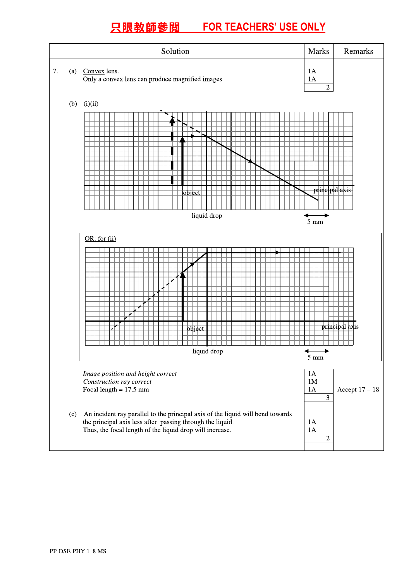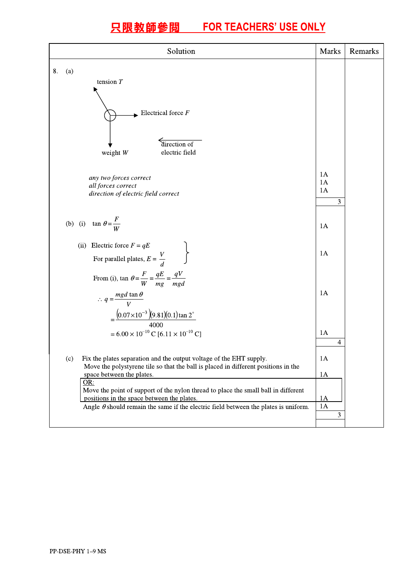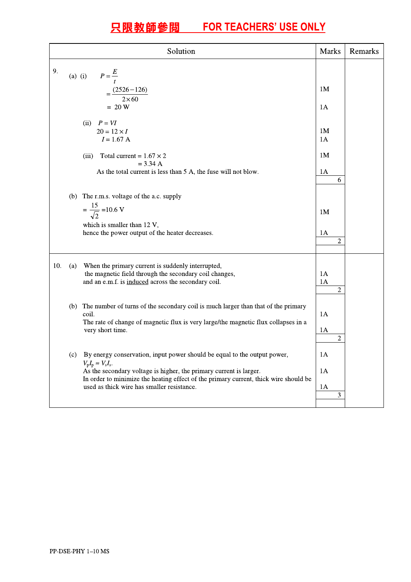|     |     | Solution                                                                                                                                                                                                                                                                                                                                 | <b>Marks</b>                           | Remarks |
|-----|-----|------------------------------------------------------------------------------------------------------------------------------------------------------------------------------------------------------------------------------------------------------------------------------------------------------------------------------------------|----------------------------------------|---------|
| 9.  |     | (a) (i) $P = \frac{E}{t}$<br>$=\frac{(2526-126)}{2\times60}$<br>$= 20 W$                                                                                                                                                                                                                                                                 | 1 <sub>M</sub><br>1A                   |         |
|     |     | (ii) $P = VI$<br>$20 = 12 \times I$<br>$I = 1.67 A$<br>Total current = $1.67 \times 2$                                                                                                                                                                                                                                                   | 1 <sub>M</sub><br>1A<br>1 <sub>M</sub> |         |
|     |     | (iii)<br>$= 3.34 A$<br>As the total current is less than 5 A, the fuse will not blow.                                                                                                                                                                                                                                                    | 1A<br>6                                |         |
|     |     | (b) The r.m.s. voltage of the a.c. supply<br>$=\frac{15}{\sqrt{2}}$ = 10.6 V<br>which is smaller than 12 V,<br>hence the power output of the heater decreases.                                                                                                                                                                           | 1 <sub>M</sub><br>1A<br>$\overline{c}$ |         |
| 10. | (a) | When the primary current is suddenly interrupted,<br>the magnetic field through the secondary coil changes,<br>and an e.m.f. is induced across the secondary coil.                                                                                                                                                                       | 1A<br>1A<br>$\mathbf{2}$               |         |
|     |     | (b) The number of turns of the secondary coil is much larger than that of the primary<br>coil.<br>The rate of change of magnetic flux is very large/the magnetic flux collapses in a<br>very short time.                                                                                                                                 | 1A<br>1A<br>2                          |         |
|     | (c) | By energy conservation, input power should be equal to the output power,<br>$V_{\rm p}I_{\rm p} \approx V_{\rm s}I_{\rm s}.$<br>As the secondary voltage is higher, the primary current is larger.<br>In order to minimize the heating effect of the primary current, thick wire should be<br>used as thick wire has smaller resistance. | 1A<br>1A<br>1A<br>3                    |         |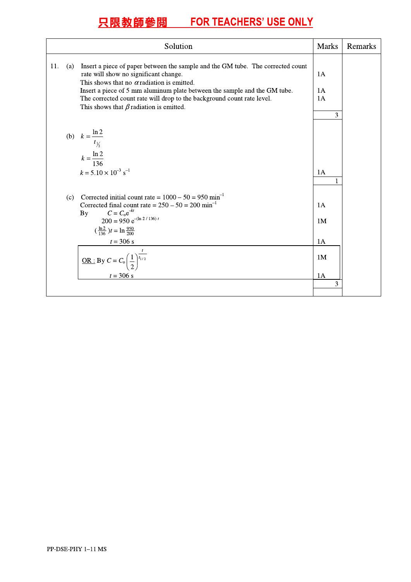| Solution                                                                                                                                                                                                                                                                                                                                                                                            | <b>Marks</b>                                            | Remarks |
|-----------------------------------------------------------------------------------------------------------------------------------------------------------------------------------------------------------------------------------------------------------------------------------------------------------------------------------------------------------------------------------------------------|---------------------------------------------------------|---------|
| 11.<br>Insert a piece of paper between the sample and the GM tube. The corrected count<br>(a)<br>rate will show no significant change.<br>This shows that no $\alpha$ radiation is emitted.<br>Insert a piece of 5 mm aluminum plate between the sample and the GM tube.<br>The corrected count rate will drop to the background count rate level.<br>This shows that $\beta$ radiation is emitted. | 1A<br>1A<br>1A<br>3                                     |         |
| (b) $k = \frac{\ln 2}{t_{\frac{1}{2}}}$<br>$k = \frac{\ln 2}{136}$<br>$k = 5.10 \times 10^{-3}$ s <sup>-1</sup>                                                                                                                                                                                                                                                                                     | 1A                                                      |         |
| Corrected initial count rate = $1000 - 50 = 950$ min <sup>-1</sup><br>(c)<br>Corrected final count rate = $250 - 50 = 200$ min <sup>-1</sup><br>$C = C_0 e^{-kt}$<br>By<br>$200 = 950 e^{-(\ln 2/136)t}$<br>$\left(\frac{\ln 2}{136}\right)t = \ln \frac{950}{200}$<br>$t = 306$ s<br><u>OR :</u> By $C = C_0 \left(\frac{1}{2}\right)^{\frac{1}{l_{1/2}}}$<br>$t = 306$ s                          | 1A<br>1 <sub>M</sub><br>1A<br>1 <sub>M</sub><br>1A<br>3 |         |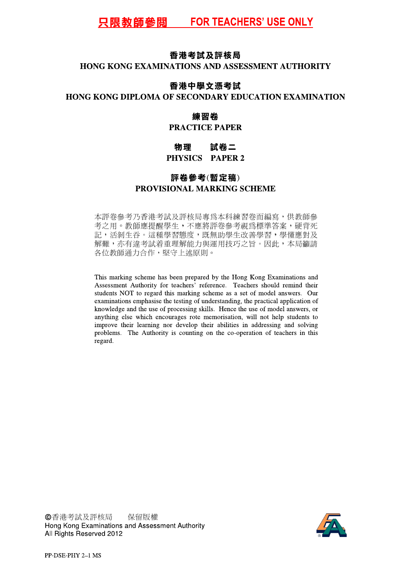## 香港考試及評核局

### HONG KONG EXAMINATIONS AND ASSESSMENT AUTHORITY

### 香港中學文憑考試

### HONG KONG DIPLOMA OF SECONDARY EDUCATION EXAMINATION

# 練習卷

## **PRACTICE PAPER**

#### 物理 試卷二 PHYSICS PAPER 2

# 評卷參考(暫定稿) PROVISIONAL MARKING SCHEME

本評卷參考乃香港考試及評核局專為本科練習卷而編寫,供教師參 考之用。教師應提醒學生,不應將評卷參考視爲標準答案,硬背死 記,活剝生吞。這種學習態度,既無助學生改善學習,學懂應對及 解難,亦有違考試着重理解能力與運用技巧之旨。因此,本局籲請 各位教師通力合作,堅守上述原則。

This marking scheme has been prepared by the Hong Kong Examinations and Assessment Authority for teachers' reference. Teachers should remind their students NOT to regard this marking scheme as a set of model answers. Our examinations emphasise the testing of understanding, the practical application of knowledge and the use of processing skills. Hence the use of model answers, or anything else which encourages rote memorisation, will not help students to improve their learning nor develop their abilities in addressing and solving problems. The Authority is counting on the co-operation of teachers in this regard.

©香港考試及評核局 保留版權 Hong Kong Examinations and Assessment Authority All Rights Reserved 2012

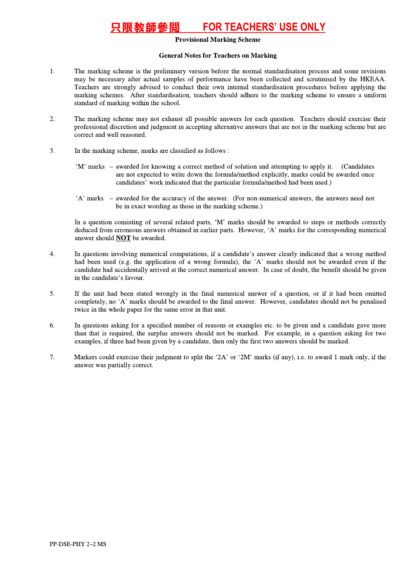#### **FOR TEACHERS' USE ONLY** 垠教師參閲

#### **Provisional Marking Scheme**

#### **General Notes for Teachers on Marking**

- 1. The marking scheme is the preliminary version before the normal standardisation process and some revisions may be necessary after actual samples of performance have been collected and scrutinised by the HKEAA. Teachers are strongly advised to conduct their own internal standardisation procedures before applying the marking schemes. After standardisation, teachers should adhere to the marking scheme to ensure a uniform standard of marking within the school.
- $\mathcal{L}$ The marking scheme may not exhaust all possible answers for each question. Teachers should exercise their professional discretion and judgment in accepting alternative answers that are not in the marking scheme but are correct and well reasoned.
- $\overline{3}$ . In the marking scheme, marks are classified as follows :
	- 'M' marks awarded for knowing a correct method of solution and attempting to apply it. (Candidates are not expected to write down the formula/method explicitly, marks could be awarded once candidates' work indicated that the particular formula/method had been used.)
	- 'A' marks awarded for the accuracy of the answer. (For non-numerical answers, the answers need not be in exact wording as those in the marking scheme.)

In a question consisting of several related parts, 'M' marks should be awarded to steps or methods correctly deduced from erroneous answers obtained in earlier parts. However, 'A' marks for the corresponding numerical answer should **NOT** be awarded.

- $\overline{4}$ . In questions involving numerical computations, if a candidate's answer clearly indicated that a wrong method had been used (e.g. the application of a wrong formula), the 'A' marks should not be awarded even if the candidate had accidentally arrived at the correct numerical answer. In case of doubt, the benefit should be given in the candidate's favour.
- 5. If the unit had been stated wrongly in the final numerical answer of a question, or if it had been omitted completely, no 'A' marks should be awarded to the final answer. However, candidates should not be penalised twice in the whole paper for the same error in that unit.
- 6. In questions asking for a specified number of reasons or examples etc. to be given and a candidate gave more than that is required, the surplus answers should not be marked. For example, in a question asking for two examples, if three had been given by a candidate, then only the first two answers should be marked.
- 7. Markers could exercise their judgment to split the '2A' or '2M' marks (if any), i.e. to award 1 mark only, if the answer was partially correct.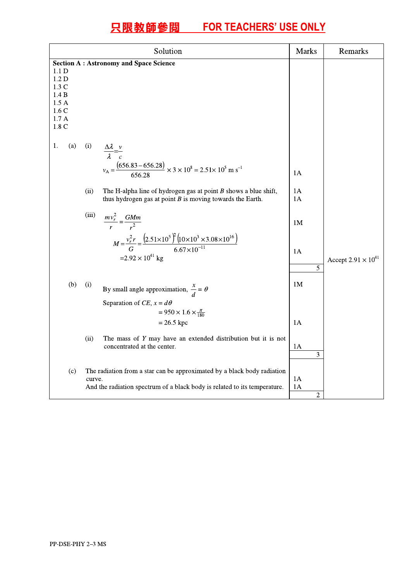|                                                                                                                              |                      | Solution                                                                                                                                                                                                                                                                                                                                                                                                                                                                                                    | <b>Marks</b>                    | Remarks                      |
|------------------------------------------------------------------------------------------------------------------------------|----------------------|-------------------------------------------------------------------------------------------------------------------------------------------------------------------------------------------------------------------------------------------------------------------------------------------------------------------------------------------------------------------------------------------------------------------------------------------------------------------------------------------------------------|---------------------------------|------------------------------|
| <b>Section A: Astronomy and Space Science</b><br>1.1 D<br>1.2 <sub>D</sub><br>1.3C<br>1.4 B<br>1.5A<br>1.6C<br>1.7A<br>1.8 C |                      |                                                                                                                                                                                                                                                                                                                                                                                                                                                                                                             |                                 |                              |
| 1.<br>(a)                                                                                                                    | (i)<br>(ii)<br>(iii) | $\frac{\Delta \lambda}{\lambda} = \frac{v}{c}$<br>$v_A = \frac{(656.83 - 656.28)}{656.28} \times 3 \times 10^8 = 2.51 \times 10^5 \text{ m s}^{-1}$<br>The H-alpha line of hydrogen gas at point $B$ shows a blue shift,<br>thus hydrogen gas at point $B$ is moving towards the Earth.<br>$\frac{mv_r^2}{r} = \frac{GMm}{r^2}$<br>$M = \frac{v_r^2 r}{G} = \frac{\left(2.51 \times 10^5\right)^2 \left(10 \times 10^3 \times 3.08 \times 10^{16}\right)}{6.67 \times 10^{-11}}$<br>$=2.92\times10^{41}$ kg | 1A<br>1A<br>1A<br>1M<br>1A<br>5 | Accept $2.91 \times 10^{41}$ |
| (b)                                                                                                                          | (i)<br>(ii)          | By small angle approximation, $\frac{x}{d} = \theta$<br>Separation of CE, $x = d\theta$<br>$= 950 \times 1.6 \times \frac{\pi}{180}$<br>$= 26.5$ kpc<br>The mass of $Y$ may have an extended distribution but it is not<br>concentrated at the center.                                                                                                                                                                                                                                                      | 1 <sub>M</sub><br>1A<br>1A<br>3 |                              |
| (c)                                                                                                                          | curve.               | The radiation from a star can be approximated by a black body radiation<br>And the radiation spectrum of a black body is related to its temperature.                                                                                                                                                                                                                                                                                                                                                        | 1A<br>1Α<br>$\overline{2}$      |                              |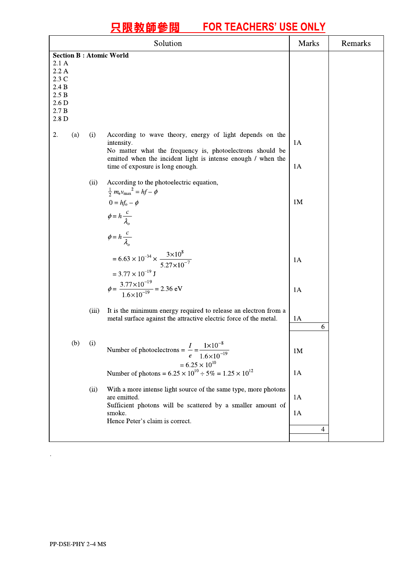|                                                                                                                                          |           | Solution                                                                                                                                                                                                                                | <b>Marks</b>   | Remarks |
|------------------------------------------------------------------------------------------------------------------------------------------|-----------|-----------------------------------------------------------------------------------------------------------------------------------------------------------------------------------------------------------------------------------------|----------------|---------|
| <b>Section B: Atomic World</b><br>2.1A<br>2.2A<br>2.3 C<br>2.4 B<br>$2.5 B$<br>2.6 <sub>D</sub><br>$2.7\;\mathrm{B}$<br>2.8 <sub>D</sub> |           |                                                                                                                                                                                                                                         |                |         |
| 2.<br>(a)                                                                                                                                | (i)       | According to wave theory, energy of light depends on the<br>intensity.<br>No matter what the frequency is, photoelectrons should be<br>emitted when the incident light is intense enough / when the<br>time of exposure is long enough. | 1A<br>1A       |         |
|                                                                                                                                          | (ii)      | According to the photoelectric equation,<br>$\frac{1}{2} m_e v_{\text{max}}^2 = hf - \phi$<br>$0 = hf_o - \phi$<br>$\phi = h \frac{c}{\lambda_o}$<br>$\phi = h \frac{c}{\lambda_o}$                                                     | 1 <sub>M</sub> |         |
|                                                                                                                                          |           | = $6.63 \times 10^{-34} \times \frac{3 \times 10^8}{5.27 \times 10^{-7}}$<br>$= 3.77 \times 10^{-19}$ J<br>$\phi = \frac{3.77 \times 10^{-19}}{1.6 \times 10^{-19}} = 2.36 \text{ eV}$                                                  | 1A<br>1A       |         |
|                                                                                                                                          | (iii)     | It is the minimum energy required to release an electron from a<br>metal surface against the attractive electric force of the metal.                                                                                                    | 1A<br>6        |         |
|                                                                                                                                          | $(b)$ (i) | $I \ 1 \times 10^{-8}$<br>Number of photoelectrons = $\frac{1}{x}$ = -<br>$1.6 \times 10^{-19}$<br>e<br>$= 6.25 \times 10^{10}$<br>Number of photons = $6.25 \times 10^{10} \div 5\% = 1.25 \times 10^{12}$                             | 1M<br>1A       |         |
|                                                                                                                                          | (ii)      | With a more intense light source of the same type, more photons<br>are emitted.<br>Sufficient photons will be scattered by a smaller amount of<br>smoke.<br>Hence Peter's claim is correct.                                             | 1A<br>1A<br>4  |         |

 $\sim 10^{-11}$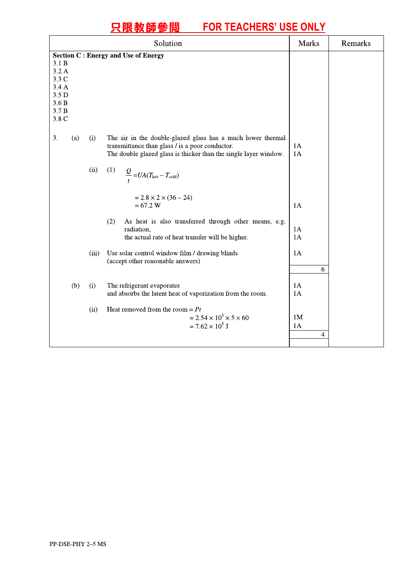# <u>只限教師参阅 FUR TEACHERS USE UNLY</u>

| <b>Section C: Energy and Use of Energy</b><br>3.1 B<br>3.2 A<br>3.3 C<br>3.4 A<br>3.5 D<br>3.6B<br>3.7 B<br>3.8 C<br>3.<br>The air in the double-glazed glass has a much lower thermal<br>(a)<br>(i)<br>transmittance than glass / is a poor conductor.<br>1A<br>$1\mathrm{A}$<br>The double glazed glass is thicker than the single layer window.<br>(ii)<br>(1)<br>$\frac{Q}{t} = UA(T_{hot} - T_{cold})$<br>$= 2.8 \times 2 \times (36 - 24)$<br>$= 67.2 W$<br>1A<br>As heat is also transferred through other means, e.g.<br>(2)<br>radiation,<br>1A |
|----------------------------------------------------------------------------------------------------------------------------------------------------------------------------------------------------------------------------------------------------------------------------------------------------------------------------------------------------------------------------------------------------------------------------------------------------------------------------------------------------------------------------------------------------------|
|                                                                                                                                                                                                                                                                                                                                                                                                                                                                                                                                                          |
|                                                                                                                                                                                                                                                                                                                                                                                                                                                                                                                                                          |
| 1A<br>the actual rate of heat transfer will be higher.                                                                                                                                                                                                                                                                                                                                                                                                                                                                                                   |
| Use solar control window film / drawing blinds<br>1A<br>(iii)<br>(accept other reasonable answers)<br>6                                                                                                                                                                                                                                                                                                                                                                                                                                                  |
| The refrigerant evaporates<br>1A<br>(b)<br>(i)<br>and absorbs the latent heat of vaporization from the room.<br>1A<br>Heat removed from the room = $Pt$<br>(ii)<br>$= 2.54 \times 10^3 \times 5 \times 60$<br>1M<br>$= 7.62 \times 10^5$ J<br>1A<br>$\overline{4}$                                                                                                                                                                                                                                                                                       |